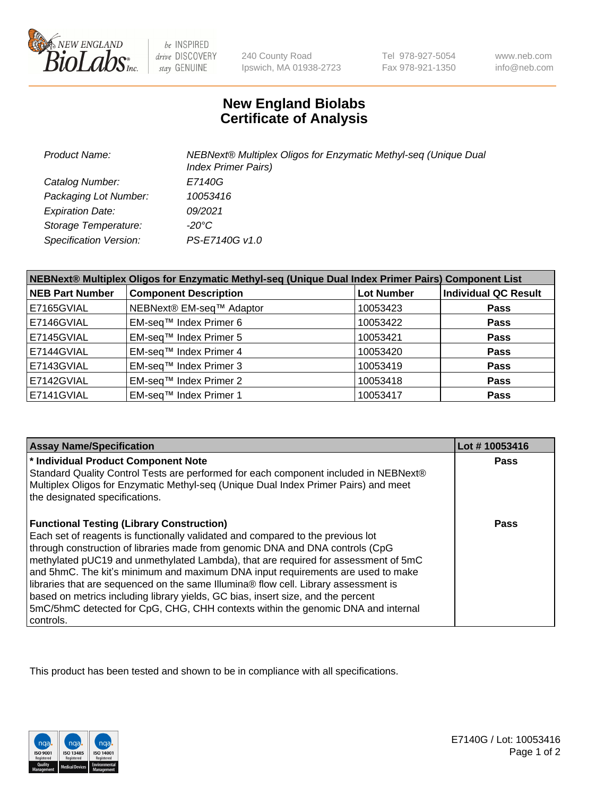

be INSPIRED drive DISCOVERY stay GENUINE

240 County Road Ipswich, MA 01938-2723 Tel 978-927-5054 Fax 978-921-1350

www.neb.com info@neb.com

## **New England Biolabs Certificate of Analysis**

| <b>Product Name:</b>          | NEBNext® Multiplex Oligos for Enzymatic Methyl-seq (Unique Dual<br><b>Index Primer Pairs)</b> |
|-------------------------------|-----------------------------------------------------------------------------------------------|
| Catalog Number:               | E7140G                                                                                        |
| Packaging Lot Number:         | 10053416                                                                                      |
| <b>Expiration Date:</b>       | 09/2021                                                                                       |
| Storage Temperature:          | -20°C                                                                                         |
| <b>Specification Version:</b> | PS-E7140G v1.0                                                                                |

| NEBNext® Multiplex Oligos for Enzymatic Methyl-seq (Unique Dual Index Primer Pairs) Component List |                              |                   |                             |  |
|----------------------------------------------------------------------------------------------------|------------------------------|-------------------|-----------------------------|--|
| <b>NEB Part Number</b>                                                                             | <b>Component Description</b> | <b>Lot Number</b> | <b>Individual QC Result</b> |  |
| E7165GVIAL                                                                                         | NEBNext® EM-seq™ Adaptor     | 10053423          | <b>Pass</b>                 |  |
| E7146GVIAL                                                                                         | EM-seq™ Index Primer 6       | 10053422          | <b>Pass</b>                 |  |
| E7145GVIAL                                                                                         | EM-seq™ Index Primer 5       | 10053421          | <b>Pass</b>                 |  |
| E7144GVIAL                                                                                         | EM-seq™ Index Primer 4       | 10053420          | <b>Pass</b>                 |  |
| E7143GVIAL                                                                                         | EM-seq™ Index Primer 3       | 10053419          | <b>Pass</b>                 |  |
| E7142GVIAL                                                                                         | EM-seq™ Index Primer 2       | 10053418          | <b>Pass</b>                 |  |
| E7141GVIAL                                                                                         | EM-sea™ Index Primer 1       | 10053417          | <b>Pass</b>                 |  |

| <b>Assay Name/Specification</b>                                                                                                                                                                                                                                                                                                                                                                                                                                                                                                                                                                                                                                           | Lot #10053416 |
|---------------------------------------------------------------------------------------------------------------------------------------------------------------------------------------------------------------------------------------------------------------------------------------------------------------------------------------------------------------------------------------------------------------------------------------------------------------------------------------------------------------------------------------------------------------------------------------------------------------------------------------------------------------------------|---------------|
| * Individual Product Component Note<br>Standard Quality Control Tests are performed for each component included in NEBNext®<br>Multiplex Oligos for Enzymatic Methyl-seq (Unique Dual Index Primer Pairs) and meet<br>the designated specifications.                                                                                                                                                                                                                                                                                                                                                                                                                      | Pass          |
| <b>Functional Testing (Library Construction)</b><br>Each set of reagents is functionally validated and compared to the previous lot<br>through construction of libraries made from genomic DNA and DNA controls (CpG<br>methylated pUC19 and unmethylated Lambda), that are required for assessment of 5mC<br>and 5hmC. The kit's minimum and maximum DNA input requirements are used to make<br>libraries that are sequenced on the same Illumina® flow cell. Library assessment is<br>based on metrics including library yields, GC bias, insert size, and the percent<br>5mC/5hmC detected for CpG, CHG, CHH contexts within the genomic DNA and internal<br>controls. | Pass          |

This product has been tested and shown to be in compliance with all specifications.